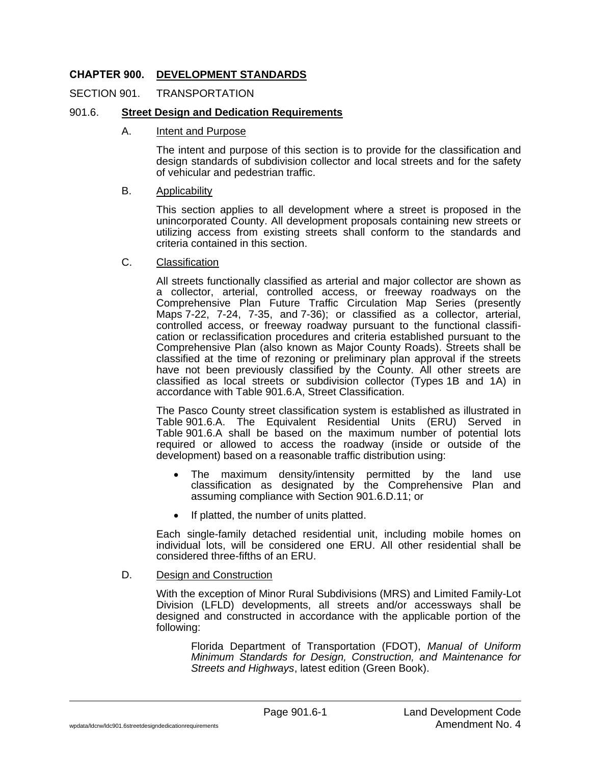## **CHAPTER 900. DEVELOPMENT STANDARDS**

#### SECTION 901. TRANSPORTATION

#### 901.6. **Street Design and Dedication Requirements**

#### A. Intent and Purpose

The intent and purpose of this section is to provide for the classification and design standards of subdivision collector and local streets and for the safety of vehicular and pedestrian traffic.

#### B. Applicability

This section applies to all development where a street is proposed in the unincorporated County. All development proposals containing new streets or utilizing access from existing streets shall conform to the standards and criteria contained in this section.

### C. Classification

All streets functionally classified as arterial and major collector are shown as a collector, arterial, controlled access, or freeway roadways on the Comprehensive Plan Future Traffic Circulation Map Series (presently Maps 7-22, 7-24, 7-35, and 7-36); or classified as a collector, arterial, controlled access, or freeway roadway pursuant to the functional classification or reclassification procedures and criteria established pursuant to the Comprehensive Plan (also known as Major County Roads). Streets shall be classified at the time of rezoning or preliminary plan approval if the streets have not been previously classified by the County. All other streets are classified as local streets or subdivision collector (Types 1B and 1A) in accordance with Table 901.6.A, Street Classification.

The Pasco County street classification system is established as illustrated in Table 901.6.A. The Equivalent Residential Units (ERU) Served in Table 901.6.A shall be based on the maximum number of potential lots required or allowed to access the roadway (inside or outside of the development) based on a reasonable traffic distribution using:

- The maximum density/intensity permitted by the land use classification as designated by the Comprehensive Plan and assuming compliance with Section 901.6.D.11; or
- If platted, the number of units platted.

Each single-family detached residential unit, including mobile homes on individual lots, will be considered one ERU. All other residential shall be considered three-fifths of an ERU.

#### D. Design and Construction

With the exception of Minor Rural Subdivisions (MRS) and Limited Family-Lot Division (LFLD) developments, all streets and/or accessways shall be designed and constructed in accordance with the applicable portion of the following:

Florida Department of Transportation (FDOT), *Manual of Uniform Minimum Standards for Design, Construction, and Maintenance for Streets and Highways*, latest edition (Green Book).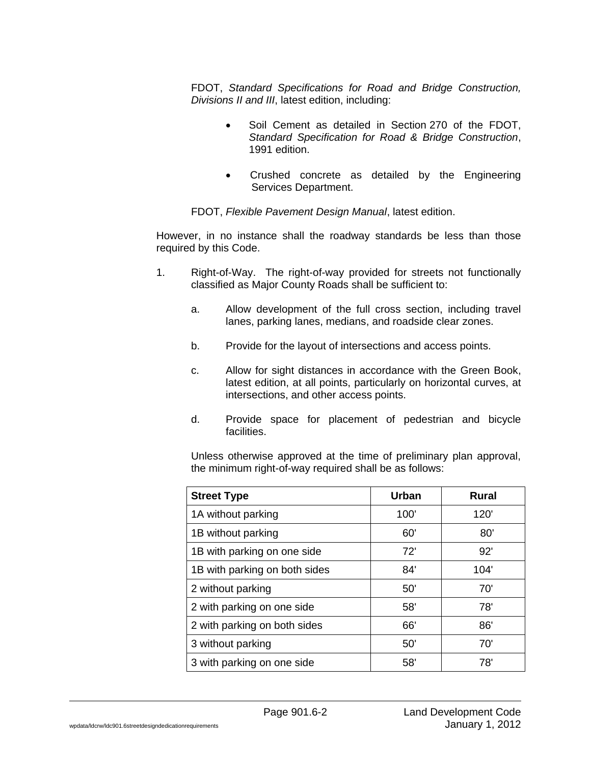FDOT, *Standard Specifications for Road and Bridge Construction, Divisions II and III*, latest edition, including:

- Soil Cement as detailed in Section 270 of the FDOT, *Standard Specification for Road & Bridge Construction*, 1991 edition.
- Crushed concrete as detailed by the Engineering Services Department.

FDOT, *Flexible Pavement Design Manual*, latest edition.

However, in no instance shall the roadway standards be less than those required by this Code.

- 1. Right-of-Way. The right-of-way provided for streets not functionally classified as Major County Roads shall be sufficient to:
	- a. Allow development of the full cross section, including travel lanes, parking lanes, medians, and roadside clear zones.
	- b. Provide for the layout of intersections and access points.
	- c. Allow for sight distances in accordance with the Green Book, latest edition, at all points, particularly on horizontal curves, at intersections, and other access points.
	- d. Provide space for placement of pedestrian and bicycle facilities.

Unless otherwise approved at the time of preliminary plan approval, the minimum right-of-way required shall be as follows:

| <b>Street Type</b>            | Urban | <b>Rural</b> |
|-------------------------------|-------|--------------|
| 1A without parking            | 100'  | 120'         |
| 1B without parking            | 60'   | 80'          |
| 1B with parking on one side   | 72'   | 92'          |
| 1B with parking on both sides | 84'   | 104'         |
| 2 without parking             | 50'   | 70'          |
| 2 with parking on one side    | 58'   | 78'          |
| 2 with parking on both sides  | 66'   | 86'          |
| 3 without parking             | 50'   | 70'          |
| 3 with parking on one side    | 58'   | 78'          |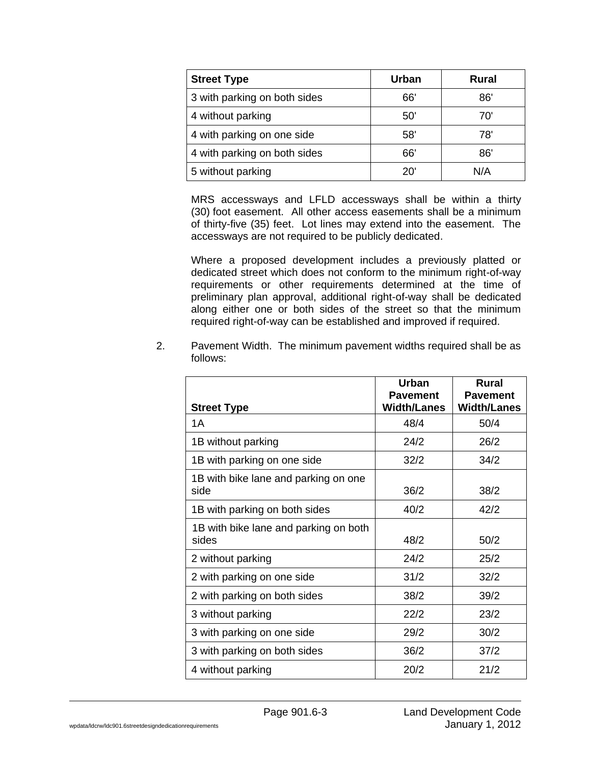| <b>Street Type</b>           | <b>Urban</b> | Rural |
|------------------------------|--------------|-------|
| 3 with parking on both sides | 66'          | 86'   |
| 4 without parking            | 50'          | 70    |
| 4 with parking on one side   | 58'          | 78'   |
| 4 with parking on both sides | 66'          | 86'   |
| 5 without parking            | 20           | N/A   |

MRS accessways and LFLD accessways shall be within a thirty (30) foot easement. All other access easements shall be a minimum of thirty-five (35) feet. Lot lines may extend into the easement. The accessways are not required to be publicly dedicated.

Where a proposed development includes a previously platted or dedicated street which does not conform to the minimum right-of-way requirements or other requirements determined at the time of preliminary plan approval, additional right-of-way shall be dedicated along either one or both sides of the street so that the minimum required right-of-way can be established and improved if required.

|          | Pavement Width. The minimum pavement widths required shall be as |
|----------|------------------------------------------------------------------|
| follows: |                                                                  |

|                                                | <b>Urban</b>                          | <b>Rural</b>                          |
|------------------------------------------------|---------------------------------------|---------------------------------------|
| <b>Street Type</b>                             | <b>Pavement</b><br><b>Width/Lanes</b> | <b>Pavement</b><br><b>Width/Lanes</b> |
| 1A                                             | 48/4                                  | 50/4                                  |
| 1B without parking                             | 24/2                                  | 26/2                                  |
| 1B with parking on one side                    | 32/2                                  | 34/2                                  |
| 1B with bike lane and parking on one<br>side   | 36/2                                  | 38/2                                  |
| 1B with parking on both sides                  | 40/2                                  | 42/2                                  |
| 1B with bike lane and parking on both<br>sides | 48/2                                  | 50/2                                  |
| 2 without parking                              | 24/2                                  | 25/2                                  |
| 2 with parking on one side                     | 31/2                                  | 32/2                                  |
| 2 with parking on both sides                   | 38/2                                  | 39/2                                  |
| 3 without parking                              | 22/2                                  | 23/2                                  |
| 3 with parking on one side                     | 29/2                                  | 30/2                                  |
| 3 with parking on both sides                   | 36/2                                  | 37/2                                  |
| 4 without parking                              | 20/2                                  | 21/2                                  |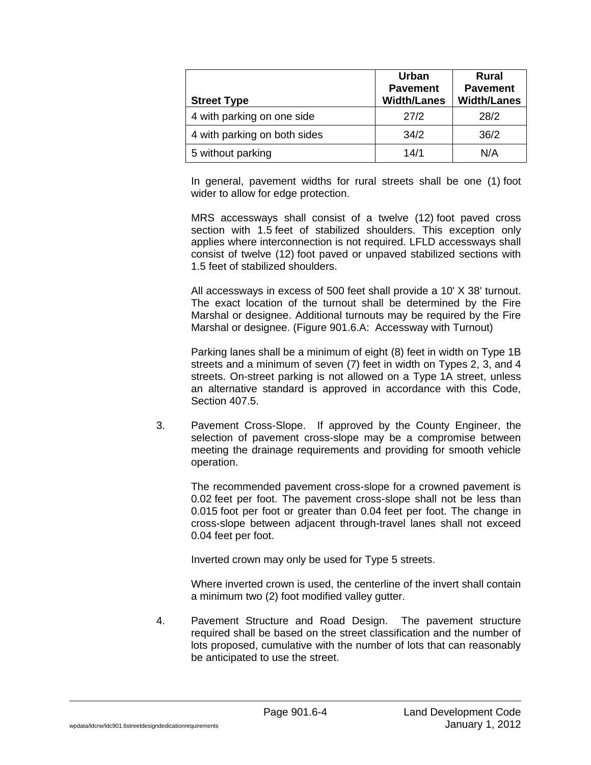| <b>Street Type</b>           | <b>Urban</b><br><b>Pavement</b><br><b>Width/Lanes</b> | Rural<br><b>Pavement</b><br><b>Width/Lanes</b> |
|------------------------------|-------------------------------------------------------|------------------------------------------------|
| 4 with parking on one side   | 27/2                                                  | 28/2                                           |
| 4 with parking on both sides | 34/2                                                  | 36/2                                           |
| 5 without parking            | 14/1                                                  | N/A                                            |

In general, pavement widths for rural streets shall be one (1) foot wider to allow for edge protection.

MRS accessways shall consist of a twelve (12) foot paved cross section with 1.5 feet of stabilized shoulders. This exception only applies where interconnection is not required. LFLD accessways shall consist of twelve (12) foot paved or unpaved stabilized sections with 1.5 feet of stabilized shoulders.

All accessways in excess of 500 feet shall provide a 10' X 38' turnout. The exact location of the turnout shall be determined by the Fire Marshal or designee. Additional turnouts may be required by the Fire Marshal or designee. (Figure 901.6.A: Accessway with Turnout)

Parking lanes shall be a minimum of eight (8) feet in width on Type 1B streets and a minimum of seven (7) feet in width on Types 2, 3, and 4 streets. On-street parking is not allowed on a Type 1A street, unless an alternative standard is approved in accordance with this Code, Section 407.5.

3. Pavement Cross-Slope. If approved by the County Engineer, the selection of pavement cross-slope may be a compromise between meeting the drainage requirements and providing for smooth vehicle operation.

The recommended pavement cross-slope for a crowned pavement is 0.02 feet per foot. The pavement cross-slope shall not be less than 0.015 foot per foot or greater than 0.04 feet per foot. The change in cross-slope between adjacent through-travel lanes shall not exceed 0.04 feet per foot.

Inverted crown may only be used for Type 5 streets.

Where inverted crown is used, the centerline of the invert shall contain a minimum two (2) foot modified valley gutter.

4. Pavement Structure and Road Design. The pavement structure required shall be based on the street classification and the number of lots proposed, cumulative with the number of lots that can reasonably be anticipated to use the street.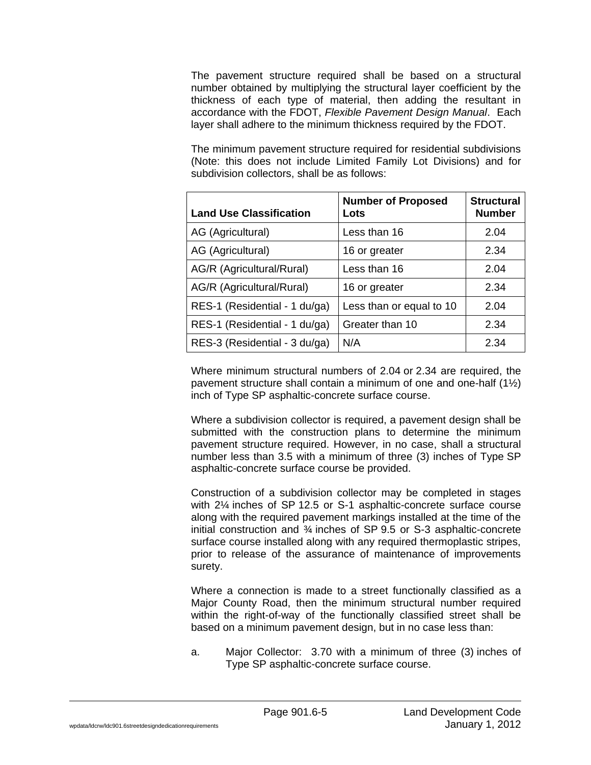The pavement structure required shall be based on a structural number obtained by multiplying the structural layer coefficient by the thickness of each type of material, then adding the resultant in accordance with the FDOT, *Flexible Pavement Design Manual*. Each layer shall adhere to the minimum thickness required by the FDOT.

The minimum pavement structure required for residential subdivisions (Note: this does not include Limited Family Lot Divisions) and for subdivision collectors, shall be as follows:

| <b>Land Use Classification</b> | <b>Number of Proposed</b><br>Lots | <b>Structural</b><br><b>Number</b> |
|--------------------------------|-----------------------------------|------------------------------------|
| AG (Agricultural)              | Less than 16                      | 2.04                               |
| AG (Agricultural)              | 16 or greater                     | 2.34                               |
| AG/R (Agricultural/Rural)      | Less than 16                      | 2.04                               |
| AG/R (Agricultural/Rural)      | 16 or greater                     | 2.34                               |
| RES-1 (Residential - 1 du/ga)  | Less than or equal to 10          | 2.04                               |
| RES-1 (Residential - 1 du/ga)  | Greater than 10                   | 2.34                               |
| RES-3 (Residential - 3 du/ga)  | N/A                               | 2.34                               |

Where minimum structural numbers of 2.04 or 2.34 are required, the pavement structure shall contain a minimum of one and one-half (1½) inch of Type SP asphaltic-concrete surface course.

Where a subdivision collector is required, a pavement design shall be submitted with the construction plans to determine the minimum pavement structure required. However, in no case, shall a structural number less than 3.5 with a minimum of three (3) inches of Type SP asphaltic-concrete surface course be provided.

Construction of a subdivision collector may be completed in stages with 2¼ inches of SP 12.5 or S-1 asphaltic-concrete surface course along with the required pavement markings installed at the time of the initial construction and ¾ inches of SP 9.5 or S-3 asphaltic-concrete surface course installed along with any required thermoplastic stripes, prior to release of the assurance of maintenance of improvements surety.

Where a connection is made to a street functionally classified as a Major County Road, then the minimum structural number required within the right-of-way of the functionally classified street shall be based on a minimum pavement design, but in no case less than:

a. Major Collector: 3.70 with a minimum of three (3) inches of Type SP asphaltic-concrete surface course.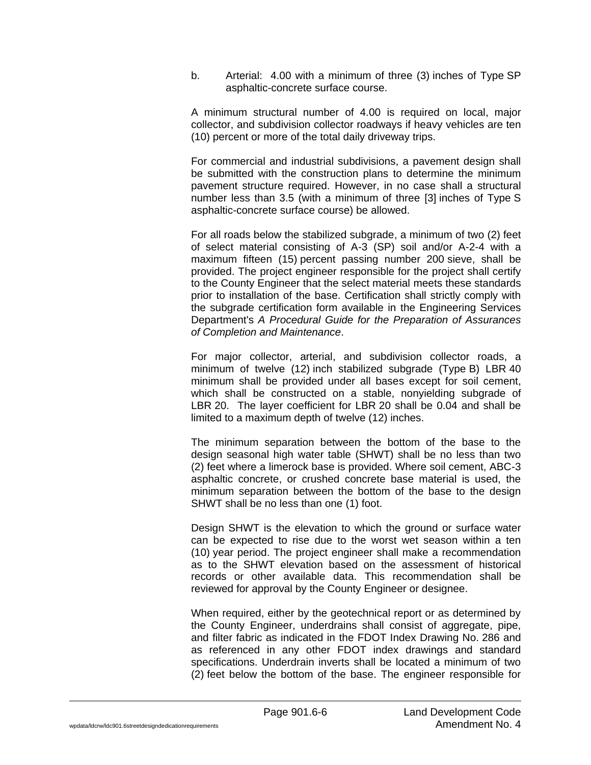b. Arterial: 4.00 with a minimum of three (3) inches of Type SP asphaltic-concrete surface course.

A minimum structural number of 4.00 is required on local, major collector, and subdivision collector roadways if heavy vehicles are ten (10) percent or more of the total daily driveway trips.

For commercial and industrial subdivisions, a pavement design shall be submitted with the construction plans to determine the minimum pavement structure required. However, in no case shall a structural number less than 3.5 (with a minimum of three [3] inches of Type S asphaltic-concrete surface course) be allowed.

For all roads below the stabilized subgrade, a minimum of two (2) feet of select material consisting of A-3 (SP) soil and/or A-2-4 with a maximum fifteen (15) percent passing number 200 sieve, shall be provided. The project engineer responsible for the project shall certify to the County Engineer that the select material meets these standards prior to installation of the base. Certification shall strictly comply with the subgrade certification form available in the Engineering Services Department's *A Procedural Guide for the Preparation of Assurances of Completion and Maintenance*.

For major collector, arterial, and subdivision collector roads, a minimum of twelve (12) inch stabilized subgrade (Type B) LBR 40 minimum shall be provided under all bases except for soil cement, which shall be constructed on a stable, nonyielding subgrade of LBR 20. The layer coefficient for LBR 20 shall be 0.04 and shall be limited to a maximum depth of twelve (12) inches.

The minimum separation between the bottom of the base to the design seasonal high water table (SHWT) shall be no less than two (2) feet where a limerock base is provided. Where soil cement, ABC-3 asphaltic concrete, or crushed concrete base material is used, the minimum separation between the bottom of the base to the design SHWT shall be no less than one (1) foot.

Design SHWT is the elevation to which the ground or surface water can be expected to rise due to the worst wet season within a ten (10) year period. The project engineer shall make a recommendation as to the SHWT elevation based on the assessment of historical records or other available data. This recommendation shall be reviewed for approval by the County Engineer or designee.

When required, either by the geotechnical report or as determined by the County Engineer, underdrains shall consist of aggregate, pipe, and filter fabric as indicated in the FDOT Index Drawing No. 286 and as referenced in any other FDOT index drawings and standard specifications. Underdrain inverts shall be located a minimum of two (2) feet below the bottom of the base. The engineer responsible for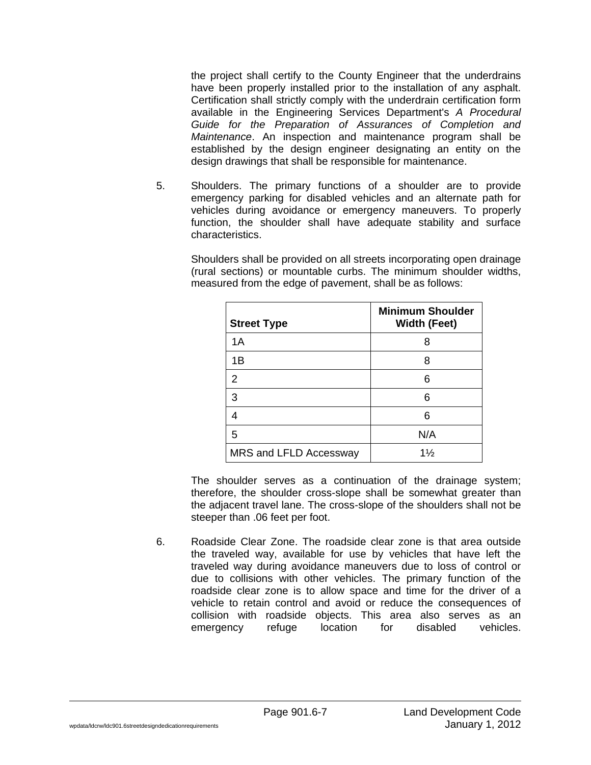the project shall certify to the County Engineer that the underdrains have been properly installed prior to the installation of any asphalt. Certification shall strictly comply with the underdrain certification form available in the Engineering Services Department's *A Procedural Guide for the Preparation of Assurances of Completion and Maintenance*. An inspection and maintenance program shall be established by the design engineer designating an entity on the design drawings that shall be responsible for maintenance.

5. Shoulders. The primary functions of a shoulder are to provide emergency parking for disabled vehicles and an alternate path for vehicles during avoidance or emergency maneuvers. To properly function, the shoulder shall have adequate stability and surface characteristics.

Shoulders shall be provided on all streets incorporating open drainage (rural sections) or mountable curbs. The minimum shoulder widths, measured from the edge of pavement, shall be as follows:

| <b>Street Type</b>     | <b>Minimum Shoulder</b><br><b>Width (Feet)</b> |
|------------------------|------------------------------------------------|
| 1A                     | 8                                              |
| 1B                     | 8                                              |
| $\overline{2}$         | 6                                              |
| 3                      | 6                                              |
| 4                      | 6                                              |
| 5                      | N/A                                            |
| MRS and LFLD Accessway | $1\frac{1}{2}$                                 |

The shoulder serves as a continuation of the drainage system; therefore, the shoulder cross-slope shall be somewhat greater than the adjacent travel lane. The cross-slope of the shoulders shall not be steeper than .06 feet per foot.

6. Roadside Clear Zone. The roadside clear zone is that area outside the traveled way, available for use by vehicles that have left the traveled way during avoidance maneuvers due to loss of control or due to collisions with other vehicles. The primary function of the roadside clear zone is to allow space and time for the driver of a vehicle to retain control and avoid or reduce the consequences of collision with roadside objects. This area also serves as an emergency refuge location for disabled vehicles.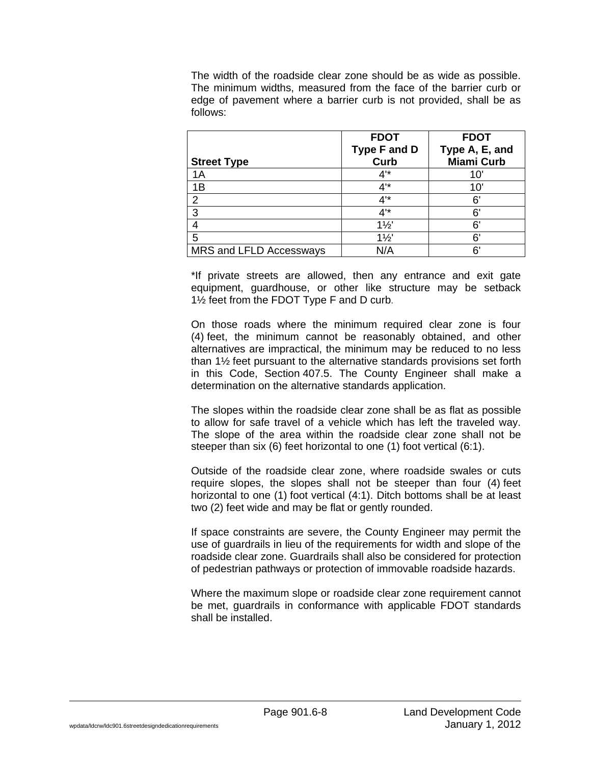The width of the roadside clear zone should be as wide as possible. The minimum widths, measured from the face of the barrier curb or edge of pavement where a barrier curb is not provided, shall be as follows:

|                         | <b>FDOT</b>         | <b>FDOT</b>       |
|-------------------------|---------------------|-------------------|
|                         | <b>Type F and D</b> | Type A, E, and    |
| <b>Street Type</b>      | Curb                | <b>Miami Curb</b> |
| 1A                      | 4'                  | 10                |
| 1B                      | 4'*                 | 10'               |
| $\overline{2}$          | 4'                  | 6'                |
| 3                       | 4'*                 | 6'                |
|                         | $1\frac{1}{2}$      | 6'                |
| 5                       | $1\frac{1}{2}$      | 6'                |
| MRS and LFLD Accessways | N/A                 | ิ 6'              |

\*If private streets are allowed, then any entrance and exit gate equipment, guardhouse, or other like structure may be setback 1½ feet from the FDOT Type F and D curb.

On those roads where the minimum required clear zone is four (4) feet, the minimum cannot be reasonably obtained, and other alternatives are impractical, the minimum may be reduced to no less than 1½ feet pursuant to the alternative standards provisions set forth in this Code, Section 407.5. The County Engineer shall make a determination on the alternative standards application.

The slopes within the roadside clear zone shall be as flat as possible to allow for safe travel of a vehicle which has left the traveled way. The slope of the area within the roadside clear zone shall not be steeper than six (6) feet horizontal to one (1) foot vertical (6:1).

Outside of the roadside clear zone, where roadside swales or cuts require slopes, the slopes shall not be steeper than four (4) feet horizontal to one (1) foot vertical (4:1). Ditch bottoms shall be at least two (2) feet wide and may be flat or gently rounded.

If space constraints are severe, the County Engineer may permit the use of guardrails in lieu of the requirements for width and slope of the roadside clear zone. Guardrails shall also be considered for protection of pedestrian pathways or protection of immovable roadside hazards.

Where the maximum slope or roadside clear zone requirement cannot be met, guardrails in conformance with applicable FDOT standards shall be installed.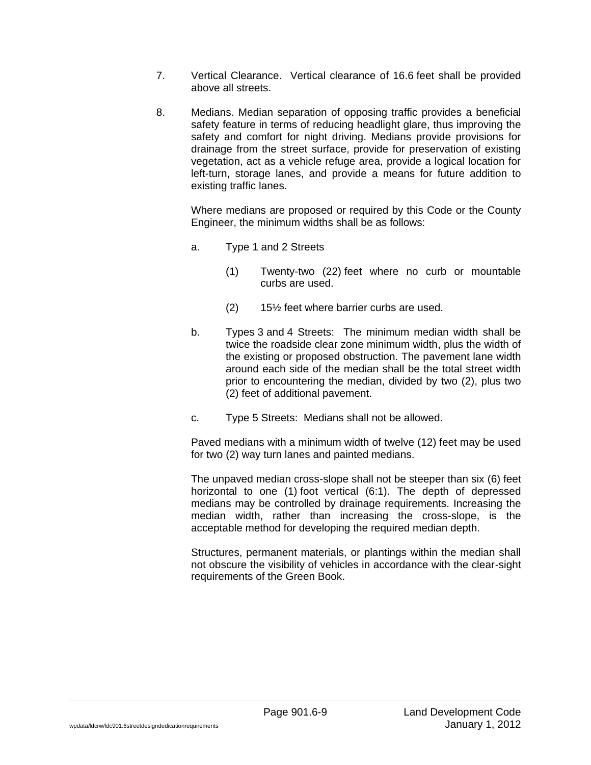- 7. Vertical Clearance. Vertical clearance of 16.6 feet shall be provided above all streets.
- 8. Medians. Median separation of opposing traffic provides a beneficial safety feature in terms of reducing headlight glare, thus improving the safety and comfort for night driving. Medians provide provisions for drainage from the street surface, provide for preservation of existing vegetation, act as a vehicle refuge area, provide a logical location for left-turn, storage lanes, and provide a means for future addition to existing traffic lanes.

Where medians are proposed or required by this Code or the County Engineer, the minimum widths shall be as follows:

- a. Type 1 and 2 Streets
	- (1) Twenty-two (22) feet where no curb or mountable curbs are used.
	- (2) 15½ feet where barrier curbs are used.
- b. Types 3 and 4 Streets: The minimum median width shall be twice the roadside clear zone minimum width, plus the width of the existing or proposed obstruction. The pavement lane width around each side of the median shall be the total street width prior to encountering the median, divided by two (2), plus two (2) feet of additional pavement.
- c. Type 5 Streets: Medians shall not be allowed.

Paved medians with a minimum width of twelve (12) feet may be used for two (2) way turn lanes and painted medians.

The unpaved median cross-slope shall not be steeper than six (6) feet horizontal to one (1) foot vertical (6:1). The depth of depressed medians may be controlled by drainage requirements. Increasing the median width, rather than increasing the cross-slope, is the acceptable method for developing the required median depth.

Structures, permanent materials, or plantings within the median shall not obscure the visibility of vehicles in accordance with the clear-sight requirements of the Green Book.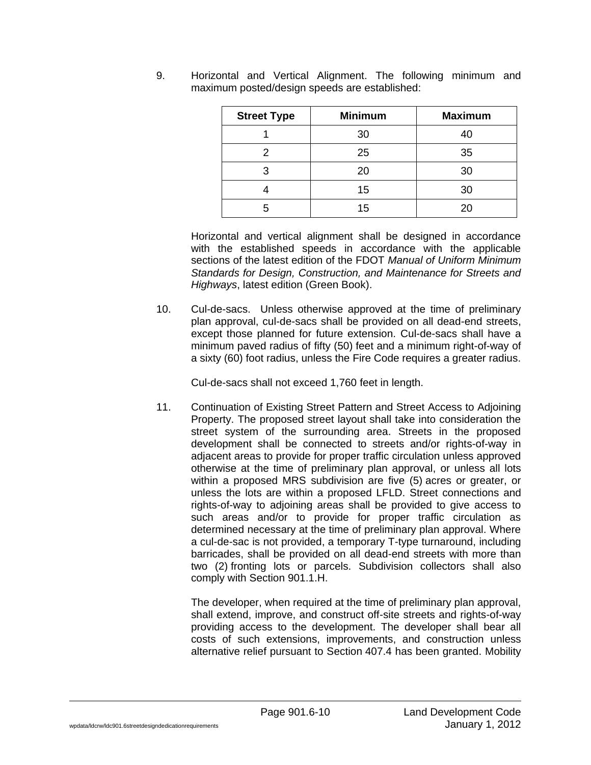| <b>Street Type</b> | <b>Minimum</b> | <b>Maximum</b> |
|--------------------|----------------|----------------|
|                    | 30             | 40             |
|                    | 25             | 35             |
| ว                  | 20             | 30             |
|                    | 15             | 30             |
|                    | 15             | 20             |

9. Horizontal and Vertical Alignment. The following minimum and maximum posted/design speeds are established:

Horizontal and vertical alignment shall be designed in accordance with the established speeds in accordance with the applicable sections of the latest edition of the FDOT *Manual of Uniform Minimum Standards for Design, Construction, and Maintenance for Streets and Highways*, latest edition (Green Book).

10. Cul-de-sacs. Unless otherwise approved at the time of preliminary plan approval, cul-de-sacs shall be provided on all dead-end streets, except those planned for future extension. Cul-de-sacs shall have a minimum paved radius of fifty (50) feet and a minimum right-of-way of a sixty (60) foot radius, unless the Fire Code requires a greater radius.

Cul-de-sacs shall not exceed 1,760 feet in length.

11. Continuation of Existing Street Pattern and Street Access to Adjoining Property. The proposed street layout shall take into consideration the street system of the surrounding area. Streets in the proposed development shall be connected to streets and/or rights-of-way in adjacent areas to provide for proper traffic circulation unless approved otherwise at the time of preliminary plan approval, or unless all lots within a proposed MRS subdivision are five (5) acres or greater, or unless the lots are within a proposed LFLD. Street connections and rights-of-way to adjoining areas shall be provided to give access to such areas and/or to provide for proper traffic circulation as determined necessary at the time of preliminary plan approval. Where a cul-de-sac is not provided, a temporary T-type turnaround, including barricades, shall be provided on all dead-end streets with more than two (2) fronting lots or parcels. Subdivision collectors shall also comply with Section 901.1.H.

The developer, when required at the time of preliminary plan approval, shall extend, improve, and construct off-site streets and rights-of-way providing access to the development. The developer shall bear all costs of such extensions, improvements, and construction unless alternative relief pursuant to Section 407.4 has been granted. Mobility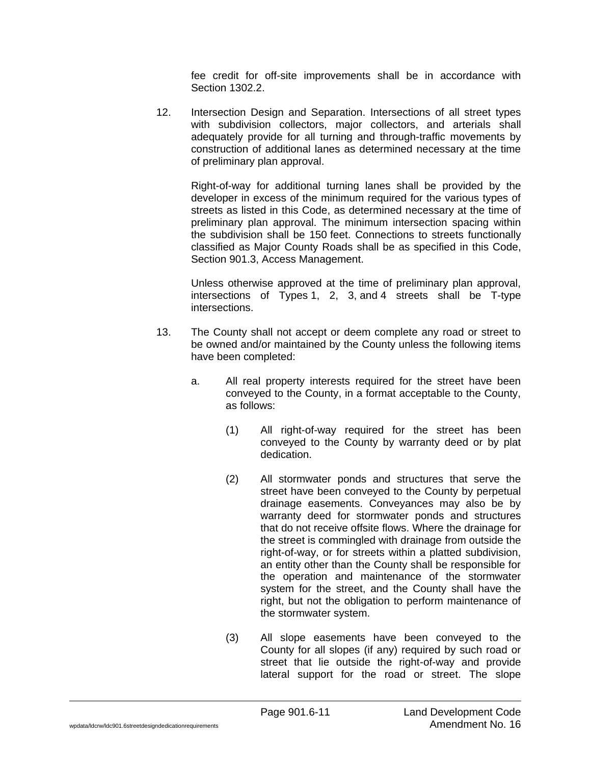fee credit for off-site improvements shall be in accordance with Section 1302.2.

12. Intersection Design and Separation. Intersections of all street types with subdivision collectors, major collectors, and arterials shall adequately provide for all turning and through-traffic movements by construction of additional lanes as determined necessary at the time of preliminary plan approval.

Right-of-way for additional turning lanes shall be provided by the developer in excess of the minimum required for the various types of streets as listed in this Code, as determined necessary at the time of preliminary plan approval. The minimum intersection spacing within the subdivision shall be 150 feet. Connections to streets functionally classified as Major County Roads shall be as specified in this Code, Section 901.3, Access Management.

Unless otherwise approved at the time of preliminary plan approval, intersections of Types 1, 2, 3, and 4 streets shall be T-type intersections.

- 13. The County shall not accept or deem complete any road or street to be owned and/or maintained by the County unless the following items have been completed:
	- a. All real property interests required for the street have been conveyed to the County, in a format acceptable to the County, as follows:
		- (1) All right-of-way required for the street has been conveyed to the County by warranty deed or by plat dedication.
		- (2) All stormwater ponds and structures that serve the street have been conveyed to the County by perpetual drainage easements. Conveyances may also be by warranty deed for stormwater ponds and structures that do not receive offsite flows. Where the drainage for the street is commingled with drainage from outside the right-of-way, or for streets within a platted subdivision, an entity other than the County shall be responsible for the operation and maintenance of the stormwater system for the street, and the County shall have the right, but not the obligation to perform maintenance of the stormwater system.
		- (3) All slope easements have been conveyed to the County for all slopes (if any) required by such road or street that lie outside the right-of-way and provide lateral support for the road or street. The slope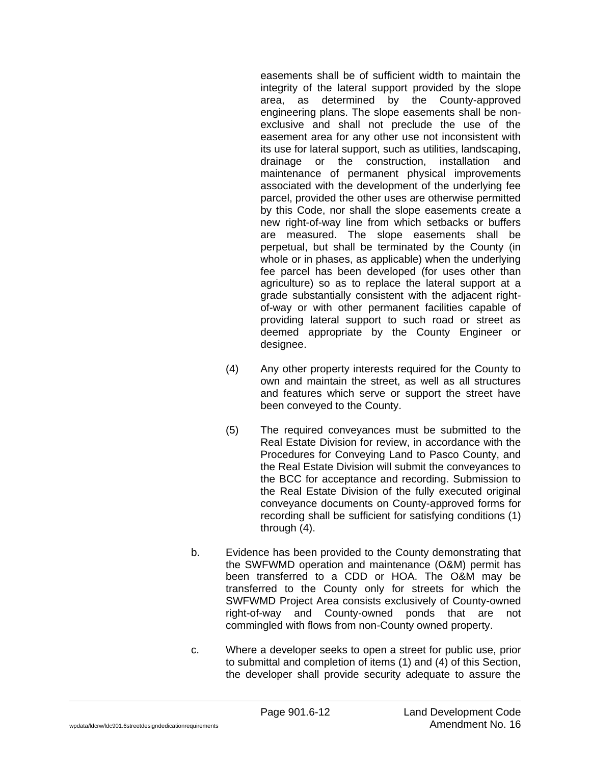easements shall be of sufficient width to maintain the integrity of the lateral support provided by the slope area, as determined by the County-approved engineering plans. The slope easements shall be nonexclusive and shall not preclude the use of the easement area for any other use not inconsistent with its use for lateral support, such as utilities, landscaping, drainage or the construction, installation and maintenance of permanent physical improvements associated with the development of the underlying fee parcel, provided the other uses are otherwise permitted by this Code, nor shall the slope easements create a new right-of-way line from which setbacks or buffers are measured. The slope easements shall be perpetual, but shall be terminated by the County (in whole or in phases, as applicable) when the underlying fee parcel has been developed (for uses other than agriculture) so as to replace the lateral support at a grade substantially consistent with the adjacent rightof-way or with other permanent facilities capable of providing lateral support to such road or street as deemed appropriate by the County Engineer or designee.

- (4) Any other property interests required for the County to own and maintain the street, as well as all structures and features which serve or support the street have been conveyed to the County.
- (5) The required conveyances must be submitted to the Real Estate Division for review, in accordance with the Procedures for Conveying Land to Pasco County, and the Real Estate Division will submit the conveyances to the BCC for acceptance and recording. Submission to the Real Estate Division of the fully executed original conveyance documents on County-approved forms for recording shall be sufficient for satisfying conditions (1) through (4).
- b. Evidence has been provided to the County demonstrating that the SWFWMD operation and maintenance (O&M) permit has been transferred to a CDD or HOA. The O&M may be transferred to the County only for streets for which the SWFWMD Project Area consists exclusively of County-owned right-of-way and County-owned ponds that are not commingled with flows from non-County owned property.
- c. Where a developer seeks to open a street for public use, prior to submittal and completion of items (1) and (4) of this Section, the developer shall provide security adequate to assure the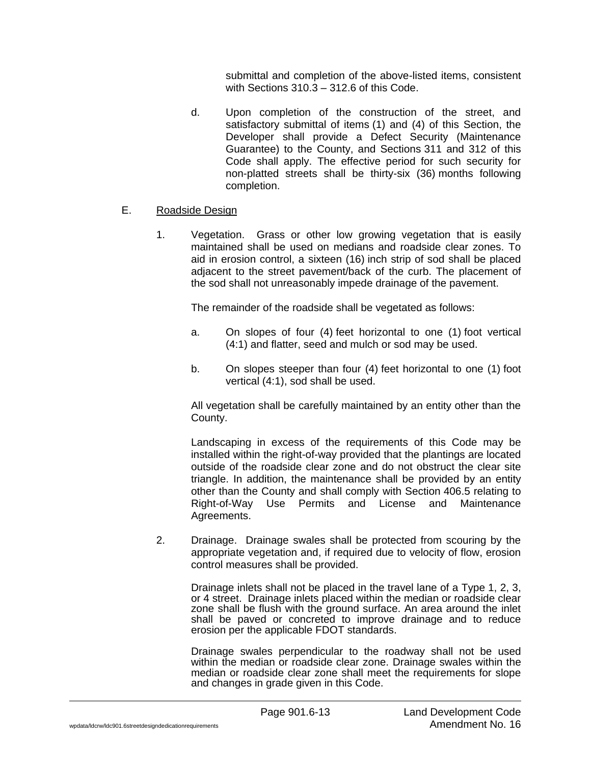submittal and completion of the above-listed items, consistent with Sections 310.3 – 312.6 of this Code.

d. Upon completion of the construction of the street, and satisfactory submittal of items (1) and (4) of this Section, the Developer shall provide a Defect Security (Maintenance Guarantee) to the County, and Sections 311 and 312 of this Code shall apply. The effective period for such security for non-platted streets shall be thirty-six (36) months following completion.

## E. Roadside Design

1. Vegetation. Grass or other low growing vegetation that is easily maintained shall be used on medians and roadside clear zones. To aid in erosion control, a sixteen (16) inch strip of sod shall be placed adjacent to the street pavement/back of the curb. The placement of the sod shall not unreasonably impede drainage of the pavement.

The remainder of the roadside shall be vegetated as follows:

- a. On slopes of four (4) feet horizontal to one (1) foot vertical (4:1) and flatter, seed and mulch or sod may be used.
- b. On slopes steeper than four (4) feet horizontal to one (1) foot vertical (4:1), sod shall be used.

All vegetation shall be carefully maintained by an entity other than the County.

Landscaping in excess of the requirements of this Code may be installed within the right-of-way provided that the plantings are located outside of the roadside clear zone and do not obstruct the clear site triangle. In addition, the maintenance shall be provided by an entity other than the County and shall comply with Section 406.5 relating to Right-of-Way Use Permits and License and Maintenance Agreements.

2. Drainage. Drainage swales shall be protected from scouring by the appropriate vegetation and, if required due to velocity of flow, erosion control measures shall be provided.

Drainage inlets shall not be placed in the travel lane of a Type 1, 2, 3, or 4 street. Drainage inlets placed within the median or roadside clear zone shall be flush with the ground surface. An area around the inlet shall be paved or concreted to improve drainage and to reduce erosion per the applicable FDOT standards.

Drainage swales perpendicular to the roadway shall not be used within the median or roadside clear zone. Drainage swales within the median or roadside clear zone shall meet the requirements for slope and changes in grade given in this Code.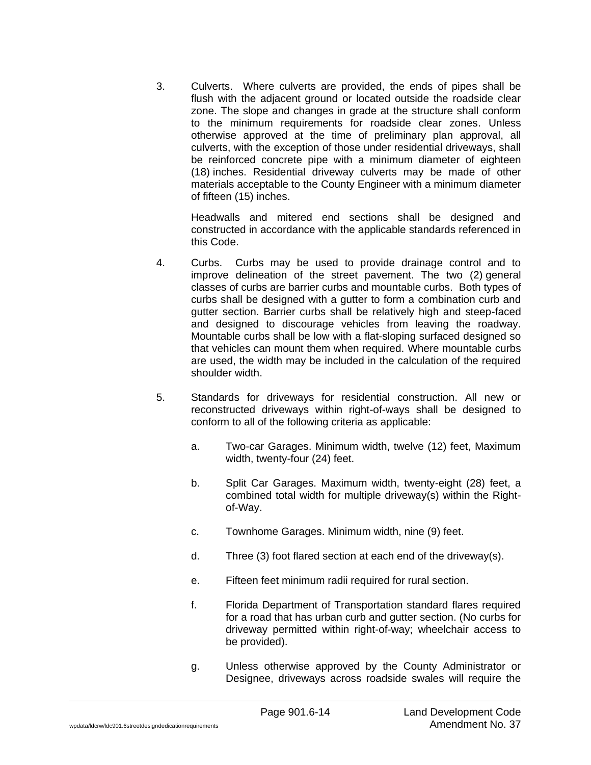3. Culverts. Where culverts are provided, the ends of pipes shall be flush with the adjacent ground or located outside the roadside clear zone. The slope and changes in grade at the structure shall conform to the minimum requirements for roadside clear zones. Unless otherwise approved at the time of preliminary plan approval, all culverts, with the exception of those under residential driveways, shall be reinforced concrete pipe with a minimum diameter of eighteen (18) inches. Residential driveway culverts may be made of other materials acceptable to the County Engineer with a minimum diameter of fifteen (15) inches.

Headwalls and mitered end sections shall be designed and constructed in accordance with the applicable standards referenced in this Code.

- 4. Curbs. Curbs may be used to provide drainage control and to improve delineation of the street pavement. The two (2) general classes of curbs are barrier curbs and mountable curbs. Both types of curbs shall be designed with a gutter to form a combination curb and gutter section. Barrier curbs shall be relatively high and steep-faced and designed to discourage vehicles from leaving the roadway. Mountable curbs shall be low with a flat-sloping surfaced designed so that vehicles can mount them when required. Where mountable curbs are used, the width may be included in the calculation of the required shoulder width.
- 5. Standards for driveways for residential construction. All new or reconstructed driveways within right-of-ways shall be designed to conform to all of the following criteria as applicable:
	- a. Two-car Garages. Minimum width, twelve (12) feet, Maximum width, twenty-four (24) feet.
	- b. Split Car Garages. Maximum width, twenty-eight (28) feet, a combined total width for multiple driveway(s) within the Rightof-Way.
	- c. Townhome Garages. Minimum width, nine (9) feet.
	- d. Three (3) foot flared section at each end of the driveway(s).
	- e. Fifteen feet minimum radii required for rural section.
	- f. Florida Department of Transportation standard flares required for a road that has urban curb and gutter section. (No curbs for driveway permitted within right-of-way; wheelchair access to be provided).
	- g. Unless otherwise approved by the County Administrator or Designee, driveways across roadside swales will require the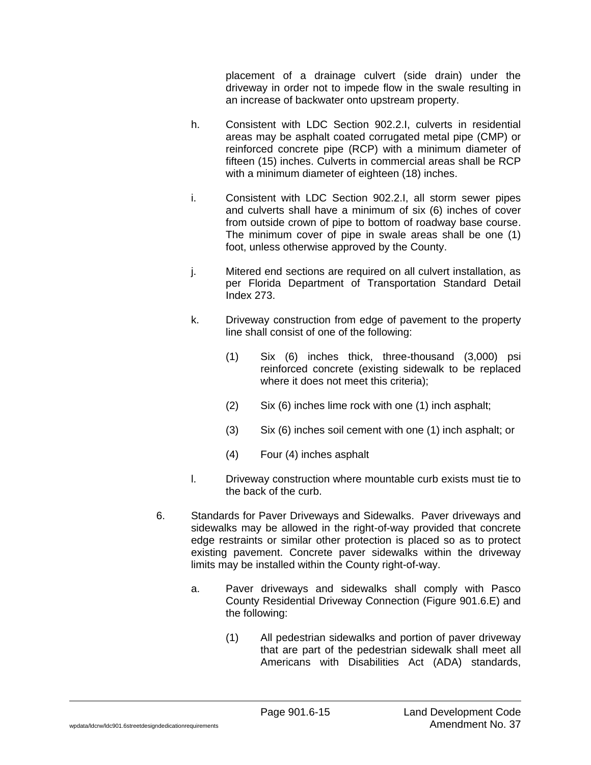placement of a drainage culvert (side drain) under the driveway in order not to impede flow in the swale resulting in an increase of backwater onto upstream property.

- h. Consistent with LDC Section 902.2.I, culverts in residential areas may be asphalt coated corrugated metal pipe (CMP) or reinforced concrete pipe (RCP) with a minimum diameter of fifteen (15) inches. Culverts in commercial areas shall be RCP with a minimum diameter of eighteen (18) inches.
- i. Consistent with LDC Section 902.2.I, all storm sewer pipes and culverts shall have a minimum of six (6) inches of cover from outside crown of pipe to bottom of roadway base course. The minimum cover of pipe in swale areas shall be one (1) foot, unless otherwise approved by the County.
- j. Mitered end sections are required on all culvert installation, as per Florida Department of Transportation Standard Detail Index 273.
- k. Driveway construction from edge of pavement to the property line shall consist of one of the following:
	- (1) Six (6) inches thick, three-thousand (3,000) psi reinforced concrete (existing sidewalk to be replaced where it does not meet this criteria);
	- (2) Six (6) inches lime rock with one (1) inch asphalt;
	- (3) Six (6) inches soil cement with one (1) inch asphalt; or
	- (4) Four (4) inches asphalt
- l. Driveway construction where mountable curb exists must tie to the back of the curb.
- 6. Standards for Paver Driveways and Sidewalks. Paver driveways and sidewalks may be allowed in the right-of-way provided that concrete edge restraints or similar other protection is placed so as to protect existing pavement. Concrete paver sidewalks within the driveway limits may be installed within the County right-of-way.
	- a. Paver driveways and sidewalks shall comply with Pasco County Residential Driveway Connection (Figure 901.6.E) and the following:
		- (1) All pedestrian sidewalks and portion of paver driveway that are part of the pedestrian sidewalk shall meet all Americans with Disabilities Act (ADA) standards,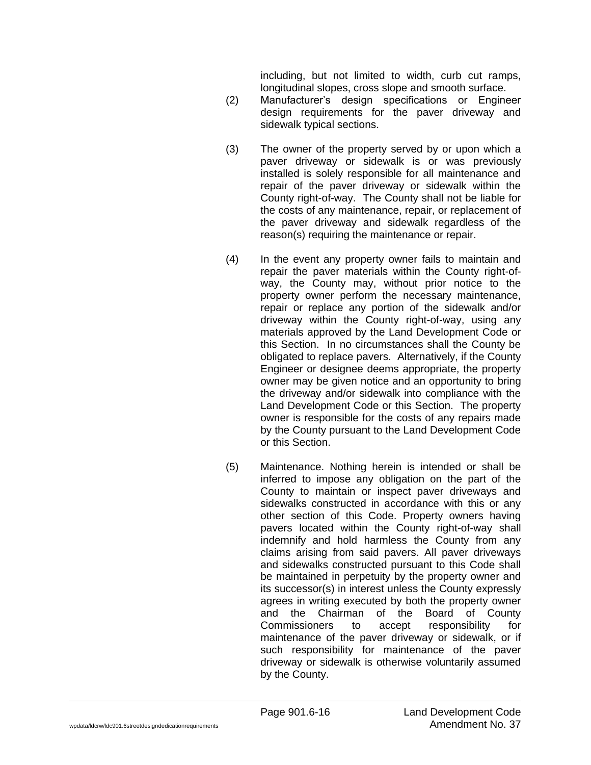including, but not limited to width, curb cut ramps, longitudinal slopes, cross slope and smooth surface.

- (2) Manufacturer's design specifications or Engineer design requirements for the paver driveway and sidewalk typical sections.
- (3) The owner of the property served by or upon which a paver driveway or sidewalk is or was previously installed is solely responsible for all maintenance and repair of the paver driveway or sidewalk within the County right-of-way. The County shall not be liable for the costs of any maintenance, repair, or replacement of the paver driveway and sidewalk regardless of the reason(s) requiring the maintenance or repair.
- (4) In the event any property owner fails to maintain and repair the paver materials within the County right-ofway, the County may, without prior notice to the property owner perform the necessary maintenance, repair or replace any portion of the sidewalk and/or driveway within the County right-of-way, using any materials approved by the Land Development Code or this Section. In no circumstances shall the County be obligated to replace pavers. Alternatively, if the County Engineer or designee deems appropriate, the property owner may be given notice and an opportunity to bring the driveway and/or sidewalk into compliance with the Land Development Code or this Section. The property owner is responsible for the costs of any repairs made by the County pursuant to the Land Development Code or this Section.
- (5) Maintenance. Nothing herein is intended or shall be inferred to impose any obligation on the part of the County to maintain or inspect paver driveways and sidewalks constructed in accordance with this or any other section of this Code. Property owners having pavers located within the County right-of-way shall indemnify and hold harmless the County from any claims arising from said pavers. All paver driveways and sidewalks constructed pursuant to this Code shall be maintained in perpetuity by the property owner and its successor(s) in interest unless the County expressly agrees in writing executed by both the property owner and the Chairman of the Board of County Commissioners to accept responsibility for maintenance of the paver driveway or sidewalk, or if such responsibility for maintenance of the paver driveway or sidewalk is otherwise voluntarily assumed by the County.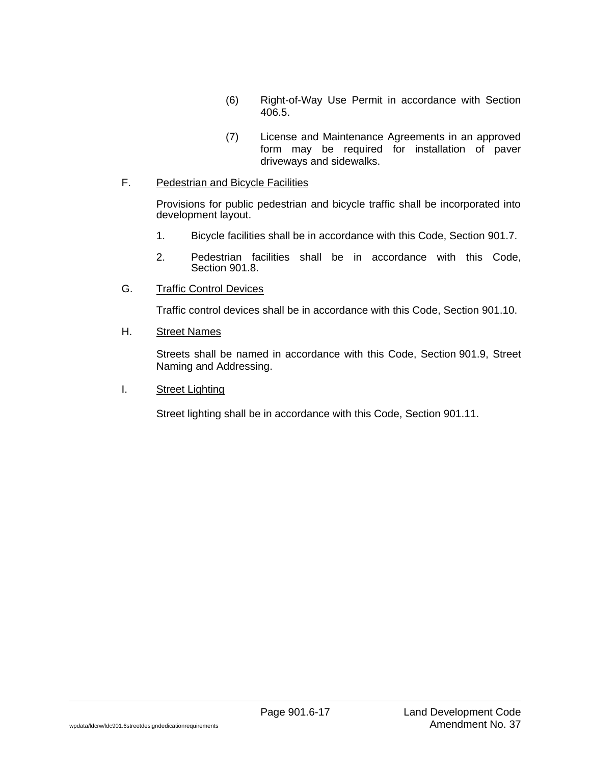- (6) Right-of-Way Use Permit in accordance with Section 406.5.
- (7) License and Maintenance Agreements in an approved form may be required for installation of paver driveways and sidewalks.

### F. Pedestrian and Bicycle Facilities

Provisions for public pedestrian and bicycle traffic shall be incorporated into development layout.

- 1. Bicycle facilities shall be in accordance with this Code, Section 901.7.
- 2. Pedestrian facilities shall be in accordance with this Code, Section 901.8.
- G. Traffic Control Devices

Traffic control devices shall be in accordance with this Code, Section 901.10.

H. Street Names

Streets shall be named in accordance with this Code, Section 901.9, Street Naming and Addressing.

I. Street Lighting

Street lighting shall be in accordance with this Code, Section 901.11.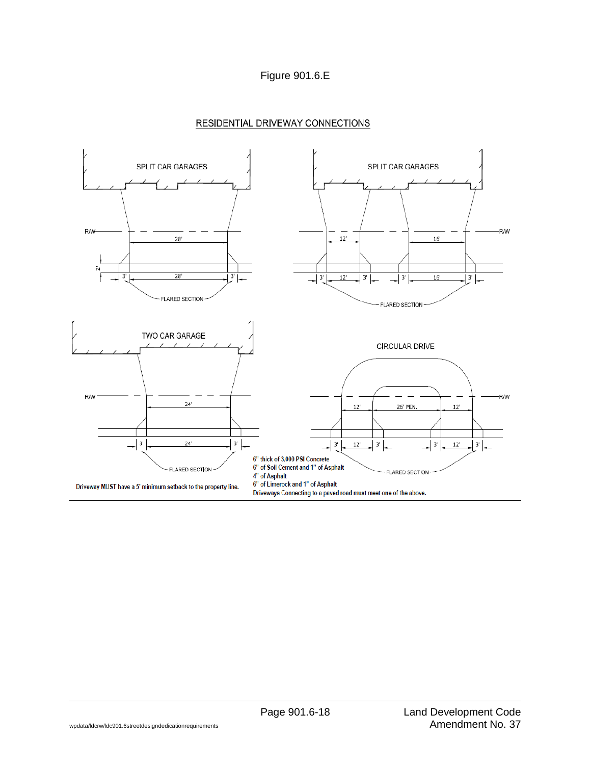



## RESIDENTIAL DRIVEWAY CONNECTIONS